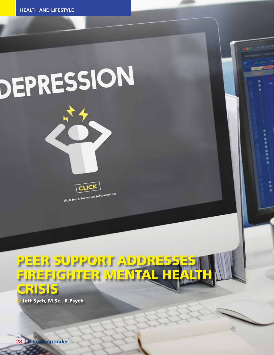## DEPRESSION





click here for more information

## PEER SUPPORT ADDRES FIREFIGHTER MENTAL HE CRISIS

Jeff Sych, M.Sc., R.Psych

28 | The Responder 28 | The Responder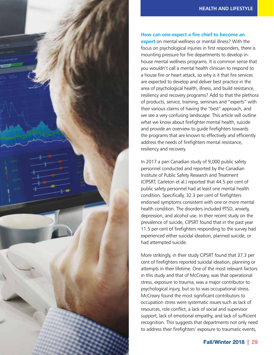



## **How can one expect a fire chief to become an**

**expert** on mental wellness or mental illness? With the focus on psychological injuries in first responders, there is mounting pressure for fire departments to develop inhouse mental wellness programs. It is common sense that you wouldn't call a mental health clinician to respond to a house fire or heart attack, so why is it that fire services are expected to develop and deliver best practice in the area of psychological health, illness, and build resistance, resiliency and recovery programs? Add to that the plethora of products, service, training, seminars and "experts" with their various claims of having the "best" approach, and we see a very confusing landscape. This article will outline what we know about firefighter mental health, suicide and provide an overview to guide firefighters towards the programs that are known to effectively and efficiently address the needs of firefighters mental resistance, resiliency and recovery.

In 2017 a pan Canadian study of 9,000 public safety personnel conducted and reported by the Canadian Institute of Public Safety Research and Treatment (CIPSRT, Carleton et al.) reported that 44.5 per cent of public safety personnel had at least one mental health condition. Specifically, 32.3 per cent of firefighters endorsed symptoms consistent with one or more mental health condition. The disorders included PTSD, anxiety, depression, and alcohol use. In their recent study on the prevalence of suicide, CIPSRT found that in the past year 11.5 per cent of firefighters responding to the survey had experienced either suicidal ideation, planned suicide, or had attempted suicide.

More strikingly, in their study CIPSRT found that 37.3 per cent of firefighters reported suicidal ideation, planning or attempts in their lifetime. One of the most relevant factors in this study and that of McCreary, was that operational stress, exposure to trauma, was a major contributor to psychological injury, but so to was occupational stress. McCreary found the most significant contributors to occupation stress were systematic issues such as lack of resources, role conflict, a lack of social and supervisor support, lack of emotional empathy, and lack of sufficient recognition. This suggests that departments not only need to address their firefighters' exposure to traumatic events,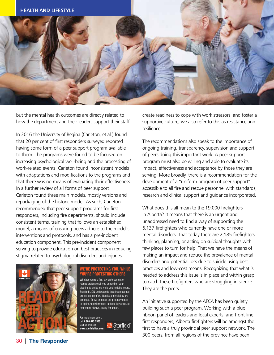

but the mental health outcomes are directly related to how the department and their leaders support their staff.

In 2016 the University of Regina (Carleton, et al.) found that 20 per cent of first responders surveyed reported having some form of a peer support program available to them. The programs were found to be focused on increasing psychological well-being and the processing of work-related events. Carleton found inconsistent models with adaptations and modifications to the programs and that there was no means of evaluating their effectiveness. In a further review of all forms of peer support Carleton found three main models, mostly versions and repackaging of the historic model. As such, Carleton recommended that peer support programs for first responders, including fire departments, should include consistent terms, training that follows an established model, a means of ensuring peers adhere to the model's interventions and protocols, and has a pre-incident education component. This pre-incident component serving to provide education on best practices in reducing stigma related to psychological disorders and injuries,



## WE'RE PROTECTING YOU, WHILE YOU'RE PROTECTING OTHERS

clothing to do its job while you're doing yours. They are the Starfield LION understands that first responder protection, comfort, identity and visibility are  $\overline{\phantom{a}}$ essential. So we engineer our protective gear<br>essential. So we engineer our protective gear essemial: So we engineer our protective gear the protective **An initiative** to optimize performance in those key areas, so that you're always...ready for action. Whether you're a fire, law enforcement or  $\overline{10}$  catch rescue professional, you depend on your

For more information, call that you have always. call **1.800.473.5553** visit us online the call **1.800.473.5553** visit us online at  $\qquad \qquad \qquad \qquad$   $\qquad \qquad$   $\qquad \qquad$   $\qquad \qquad$   $\qquad \qquad$   $\qquad \qquad$   $\qquad \qquad$   $\qquad \qquad$   $\qquad \qquad$   $\qquad \qquad$   $\qquad \qquad$   $\qquad \qquad$   $\qquad \qquad$   $\qquad \qquad$   $\qquad \qquad$   $\qquad \qquad$   $\qquad$   $\qquad \qquad$   $\qquad$   $\qquad$   $\qquad$   $\qquad$   $\qquad$   $\qquad$  at www.starfieldlion.com www.starfieldlion.com



create readiness to cope with work stressors, and foster a supportive culture, we also refer to this as resistance and resilience.

The recommendations also speak to the importance of ongoing training, transparency, supervision and support of peers doing this important work. A peer support program must also be willing and able to evaluate its impact, effectiveness and acceptance by those they are serving. More broadly, there is a recommendation for the development of a "uniform program of peer support" accessible to all fire and rescue personnel with standards, research and clinical support and guidance incorporated.

What does this all mean to the 19,000 firefighters in Alberta? It means that there is an urgent and unaddressed need to find a way of supporting the 6,137 firefighters who currently have one or more mental disorders. That today there are 2,185 firefighters thinking, planning, or acting on suicidal thoughts with few places to turn for help. That we have the means of making an impact and reduce the prevalence of mental disorders and potential loss due to suicide using best practices and low-cost means. Recognizing that what is RE PROTECTING OTHERS energy needed to address this issue is in place and within grasp to catch these firefighters who are struggling in silence. They are the peers.

> An initiative supported by the AFCA has been quietly building such a peer program. Working with a blueribbon panel of leaders and local experts, and front-line first responders, Alberta firefighters will be amongst the first to have a truly provincial peer support network. The 300 peers, from all regions of the province have been